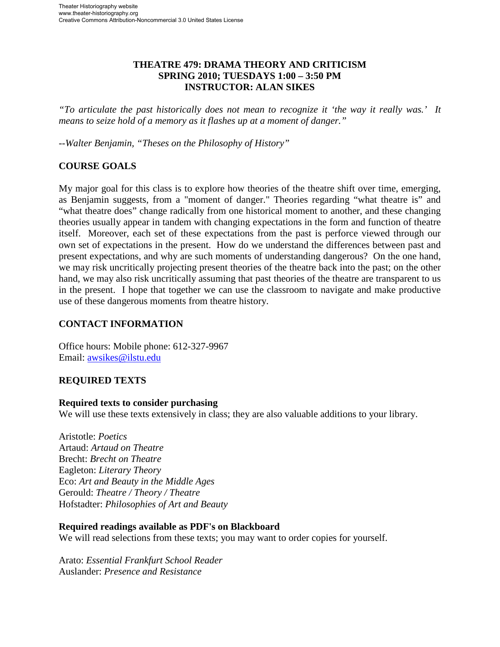# **THEATRE 479: DRAMA THEORY AND CRITICISM SPRING 2010; TUESDAYS 1:00 – 3:50 PM INSTRUCTOR: ALAN SIKES**

*"To articulate the past historically does not mean to recognize it 'the way it really was.' It means to seize hold of a memory as it flashes up at a moment of danger."* 

*--Walter Benjamin, "Theses on the Philosophy of History"* 

## **COURSE GOALS**

My major goal for this class is to explore how theories of the theatre shift over time, emerging, as Benjamin suggests, from a "moment of danger." Theories regarding "what theatre is" and "what theatre does" change radically from one historical moment to another, and these changing theories usually appear in tandem with changing expectations in the form and function of theatre itself. Moreover, each set of these expectations from the past is perforce viewed through our own set of expectations in the present. How do we understand the differences between past and present expectations, and why are such moments of understanding dangerous? On the one hand, we may risk uncritically projecting present theories of the theatre back into the past; on the other hand, we may also risk uncritically assuming that past theories of the theatre are transparent to us in the present. I hope that together we can use the classroom to navigate and make productive use of these dangerous moments from theatre history.

#### **CONTACT INFORMATION**

Office hours: Mobile phone: 612-327-9967 Email: [awsikes@ilstu.edu](mailto:awsikes@ilstu.edu)

# **REQUIRED TEXTS**

#### **Required texts to consider purchasing**

We will use these texts extensively in class; they are also valuable additions to your library.

Aristotle: *Poetics* Artaud: *Artaud on Theatre* Brecht: *Brecht on Theatre* Eagleton: *Literary Theory* Eco: *Art and Beauty in the Middle Ages* Gerould: *Theatre / Theory / Theatre* Hofstadter: *Philosophies of Art and Beauty*

#### **Required readings available as PDF's on Blackboard**

We will read selections from these texts; you may want to order copies for yourself.

Arato: *Essential Frankfurt School Reader* Auslander: *Presence and Resistance*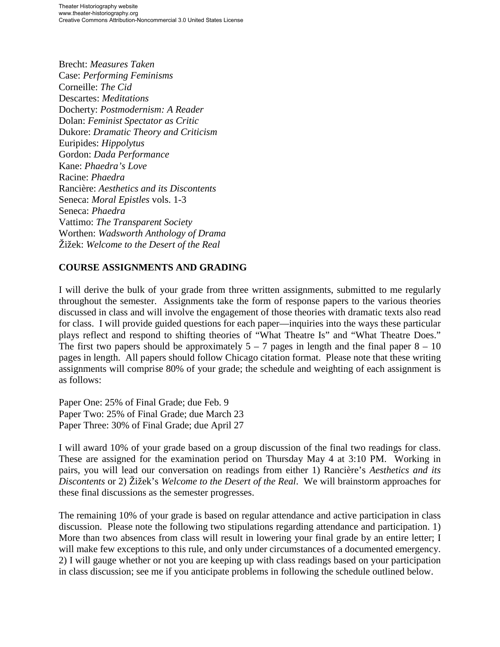Brecht: *Measures Taken* Case: *Performing Feminisms* Corneille: *The Cid* Descartes: *Meditations* Docherty: *Postmodernism: A Reader* Dolan: *Feminist Spectator as Critic* Dukore: *Dramatic Theory and Criticism*  Euripides: *Hippolytus*  Gordon: *Dada Performance*  Kane: *Phaedra's Love* Racine: *Phaedra*  Rancière: *Aesthetics and its Discontents* Seneca: *Moral Epistles* vols. 1-3 Seneca: *Phaedra* Vattimo: *The Transparent Society*  Worthen: *Wadsworth Anthology of Drama* Žižek: *Welcome to the Desert of the Real*

# **COURSE ASSIGNMENTS AND GRADING**

I will derive the bulk of your grade from three written assignments, submitted to me regularly throughout the semester. Assignments take the form of response papers to the various theories discussed in class and will involve the engagement of those theories with dramatic texts also read for class. I will provide guided questions for each paper—inquiries into the ways these particular plays reflect and respond to shifting theories of "What Theatre Is" and "What Theatre Does." The first two papers should be approximately  $5 - 7$  pages in length and the final paper  $8 - 10$ pages in length. All papers should follow Chicago citation format. Please note that these writing assignments will comprise 80% of your grade; the schedule and weighting of each assignment is as follows:

Paper One: 25% of Final Grade; due Feb. 9 Paper Two: 25% of Final Grade; due March 23 Paper Three: 30% of Final Grade; due April 27

I will award 10% of your grade based on a group discussion of the final two readings for class. These are assigned for the examination period on Thursday May 4 at 3:10 PM. Working in pairs, you will lead our conversation on readings from either 1) Rancière's *Aesthetics and its Discontents* or 2) Žižek's *Welcome to the Desert of the Real*. We will brainstorm approaches for these final discussions as the semester progresses.

The remaining 10% of your grade is based on regular attendance and active participation in class discussion. Please note the following two stipulations regarding attendance and participation. 1) More than two absences from class will result in lowering your final grade by an entire letter; I will make few exceptions to this rule, and only under circumstances of a documented emergency. 2) I will gauge whether or not you are keeping up with class readings based on your participation in class discussion; see me if you anticipate problems in following the schedule outlined below.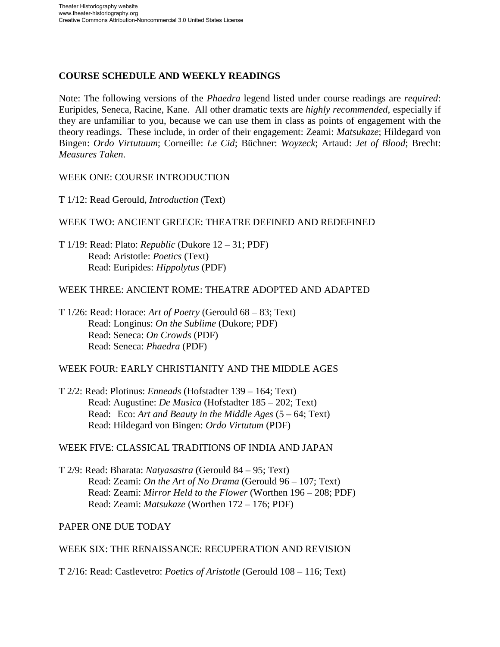# **COURSE SCHEDULE AND WEEKLY READINGS**

Note: The following versions of the *Phaedra* legend listed under course readings are *required*: Euripides, Seneca, Racine, Kane. All other dramatic texts are *highly recommended*, especially if they are unfamiliar to you, because we can use them in class as points of engagement with the theory readings. These include, in order of their engagement: Zeami: *Matsukaze*; Hildegard von Bingen: *Ordo Virtutuum*; Corneille: *Le Cid*; Büchner: *Woyzeck*; Artaud: *Jet of Blood*; Brecht: *Measures Taken*.

## WEEK ONE: COURSE INTRODUCTION

T 1/12: Read Gerould, *Introduction* (Text)

# WEEK TWO: ANCIENT GREECE: THEATRE DEFINED AND REDEFINED

T 1/19: Read: Plato: *Republic* (Dukore 12 – 31; PDF) Read: Aristotle: *Poetics* (Text) Read: Euripides: *Hippolytus* (PDF)

## WEEK THREE: ANCIENT ROME: THEATRE ADOPTED AND ADAPTED

T 1/26: Read: Horace: *Art of Poetry* (Gerould 68 – 83; Text) Read: Longinus: *On the Sublime* (Dukore; PDF) Read: Seneca: *On Crowds* (PDF) Read: Seneca: *Phaedra* (PDF)

## WEEK FOUR: EARLY CHRISTIANITY AND THE MIDDLE AGES

T 2/2: Read: Plotinus: *Enneads* (Hofstadter 139 – 164; Text) Read: Augustine: *De Musica* (Hofstadter 185 – 202; Text) Read: Eco: *Art and Beauty in the Middle Ages* (5 – 64; Text) Read: Hildegard von Bingen: *Ordo Virtutum* (PDF)

#### WEEK FIVE: CLASSICAL TRADITIONS OF INDIA AND JAPAN

T 2/9: Read: Bharata: *Natyasastra* (Gerould 84 – 95; Text) Read: Zeami: *On the Art of No Drama* (Gerould 96 – 107; Text) Read: Zeami: *Mirror Held to the Flower* (Worthen 196 – 208; PDF) Read: Zeami: *Matsukaze* (Worthen 172 – 176; PDF)

# PAPER ONE DUE TODAY

#### WEEK SIX: THE RENAISSANCE: RECUPERATION AND REVISION

T 2/16: Read: Castlevetro: *Poetics of Aristotle* (Gerould 108 – 116; Text)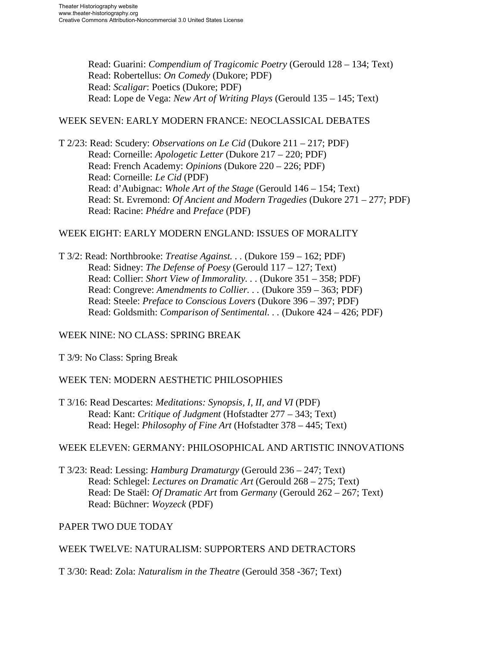Read: Guarini: *Compendium of Tragicomic Poetry* (Gerould 128 – 134; Text) Read: Robertellus: *On Comedy* (Dukore; PDF) Read: *Scaligar*: Poetics (Dukore; PDF) Read: Lope de Vega: *New Art of Writing Plays* (Gerould 135 – 145; Text)

#### WEEK SEVEN: EARLY MODERN FRANCE: NEOCLASSICAL DEBATES

T 2/23: Read: Scudery: *Observations on Le Cid* (Dukore 211 – 217; PDF) Read: Corneille: *Apologetic Letter* (Dukore 217 – 220; PDF) Read: French Academy: *Opinions* (Dukore 220 – 226; PDF) Read: Corneille: *Le Cid* (PDF) Read: d'Aubignac: *Whole Art of the Stage* (Gerould 146 – 154; Text) Read: St. Evremond: *Of Ancient and Modern Tragedies* (Dukore 271 – 277; PDF) Read: Racine: *Phédre* and *Preface* (PDF)

## WEEK EIGHT: EARLY MODERN ENGLAND: ISSUES OF MORALITY

T 3/2: Read: Northbrooke: *Treatise Against. . .* (Dukore 159 – 162; PDF) Read: Sidney: *The Defense of Poesy* (Gerould 117 – 127; Text) Read: Collier: *Short View of Immorality. . .* (Dukore 351 – 358; PDF) Read: Congreve: *Amendments to Collier. . .* (Dukore 359 – 363; PDF) Read: Steele: *Preface to Conscious Lovers* (Dukore 396 – 397; PDF) Read: Goldsmith: *Comparison of Sentimental. . .* (Dukore 424 – 426; PDF)

# WEEK NINE: NO CLASS: SPRING BREAK

T 3/9: No Class: Spring Break

# WEEK TEN: MODERN AESTHETIC PHILOSOPHIES

T 3/16: Read Descartes: *Meditations: Synopsis, I, II, and VI* (PDF) Read: Kant: *Critique of Judgment* (Hofstadter 277 – 343; Text) Read: Hegel: *Philosophy of Fine Art* (Hofstadter 378 – 445; Text)

# WEEK ELEVEN: GERMANY: PHILOSOPHICAL AND ARTISTIC INNOVATIONS

T 3/23: Read: Lessing: *Hamburg Dramaturgy* (Gerould 236 – 247; Text) Read: Schlegel: *Lectures on Dramatic Art* (Gerould 268 – 275; Text) Read: De Staël: *Of Dramatic Art* from *Germany* (Gerould 262 – 267; Text) Read: Büchner: *Woyzeck* (PDF)

# PAPER TWO DUE TODAY

# WEEK TWELVE: NATURALISM: SUPPORTERS AND DETRACTORS

T 3/30: Read: Zola: *Naturalism in the Theatre* (Gerould 358 -367; Text)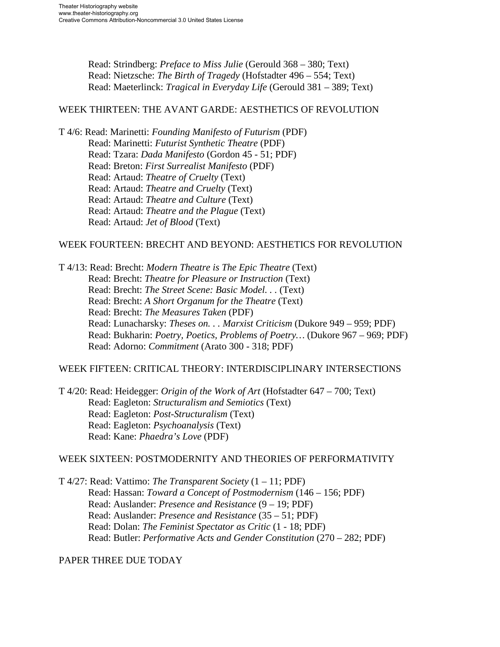Read: Strindberg: *Preface to Miss Julie* (Gerould 368 – 380; Text) Read: Nietzsche: *The Birth of Tragedy* (Hofstadter 496 – 554; Text) Read: Maeterlinck: *Tragical in Everyday Life* (Gerould 381 – 389; Text)

#### WEEK THIRTEEN: THE AVANT GARDE: AESTHETICS OF REVOLUTION

T 4/6: Read: Marinetti: *Founding Manifesto of Futurism* (PDF) Read: Marinetti: *Futurist Synthetic Theatre* (PDF) Read: Tzara: *Dada Manifesto* (Gordon 45 - 51; PDF) Read: Breton: *First Surrealist Manifesto* (PDF) Read: Artaud: *Theatre of Cruelty* (Text) Read: Artaud: *Theatre and Cruelty* (Text) Read: Artaud: *Theatre and Culture* (Text) Read: Artaud: *Theatre and the Plague* (Text) Read: Artaud: *Jet of Blood* (Text)

#### WEEK FOURTEEN: BRECHT AND BEYOND: AESTHETICS FOR REVOLUTION

T 4/13: Read: Brecht: *Modern Theatre is The Epic Theatre* (Text) Read: Brecht: *Theatre for Pleasure or Instruction* (Text) Read: Brecht: *The Street Scene: Basic Model. . .* (Text) Read: Brecht: *A Short Organum for the Theatre* (Text) Read: Brecht: *The Measures Taken* (PDF) Read: Lunacharsky: *Theses on. . . Marxist Criticism* (Dukore 949 – 959; PDF) Read: Bukharin: *Poetry, Poetics, Problems of Poetry…* (Dukore 967 – 969; PDF) Read: Adorno: *Commitment* (Arato 300 - 318; PDF)

#### WEEK FIFTEEN: CRITICAL THEORY: INTERDISCIPLINARY INTERSECTIONS

T 4/20: Read: Heidegger: *Origin of the Work of Art* (Hofstadter 647 – 700; Text) Read: Eagleton: *Structuralism and Semiotics* (Text) Read: Eagleton: *Post-Structuralism* (Text) Read: Eagleton: *Psychoanalysis* (Text) Read: Kane: *Phaedra's Love* (PDF)

#### WEEK SIXTEEN: POSTMODERNITY AND THEORIES OF PERFORMATIVITY

T 4/27: Read: Vattimo: *The Transparent Society* (1 – 11; PDF) Read: Hassan: *Toward a Concept of Postmodernism* (146 – 156; PDF) Read: Auslander: *Presence and Resistance* (9 – 19; PDF) Read: Auslander: *Presence and Resistance* (35 – 51; PDF) Read: Dolan: *The Feminist Spectator as Critic* (1 - 18; PDF) Read: Butler: *Performative Acts and Gender Constitution* (270 – 282; PDF)

#### PAPER THREE DUE TODAY